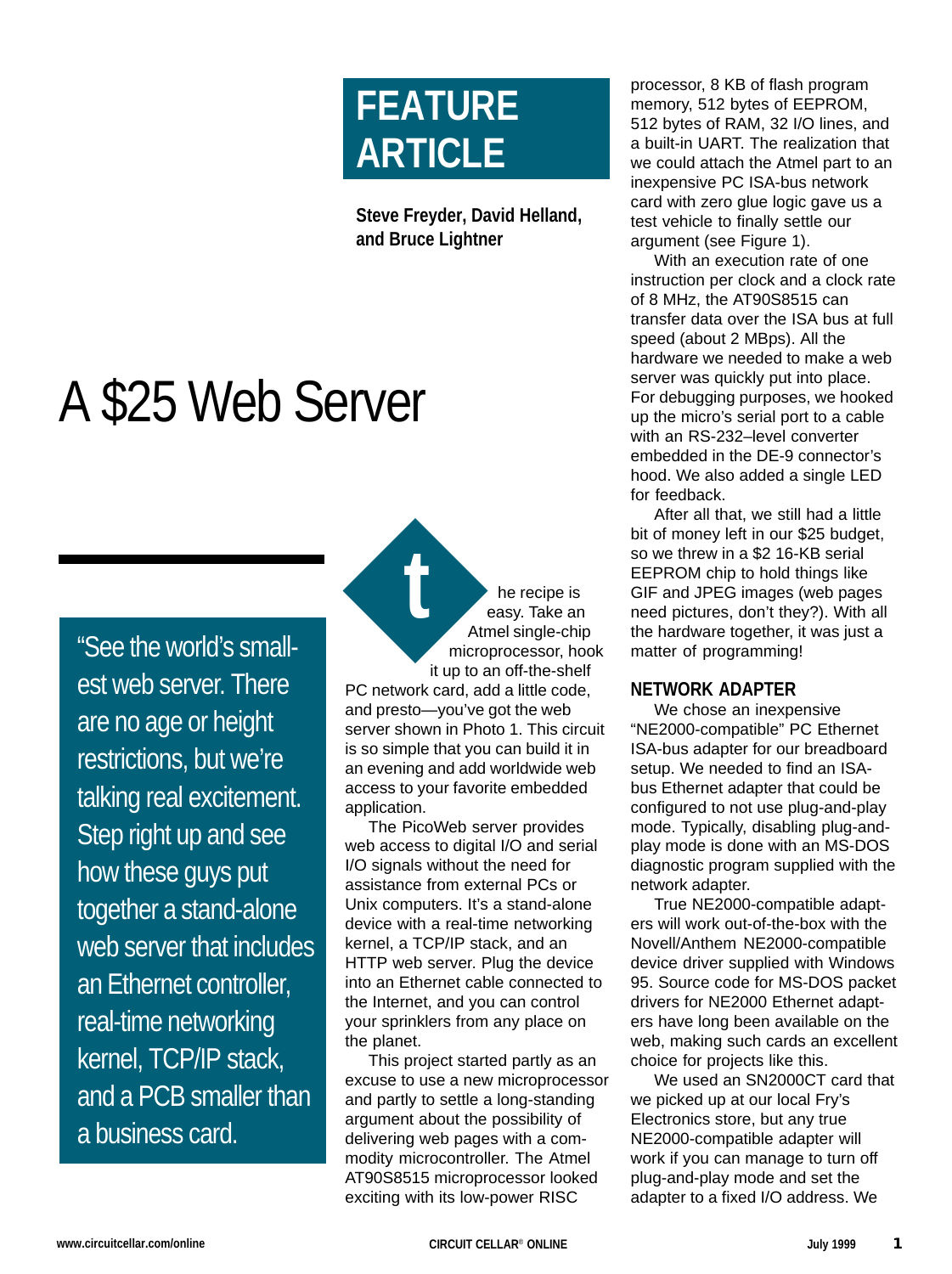# **FEATURE ARTICLE**

**Steve Freyder, David Helland, and Bruce Lightner**

# A \$25 Web Server

"See the world's smallest web server. There are no age or height restrictions, but we're talking real excitement. Step right up and see how these guys put together a stand-alone web server that includes an Ethernet controller, real-time networking kernel, TCP/IP stack, and a PCB smaller than a business card.

he recipe is easy. Take an Atmel single-chip microprocessor, hook it up to an off-the-shelf PC network card, add a little code, and presto—you've got the web server shown in Photo 1. This circuit is so simple that you can build it in an evening and add worldwide web access to your favorite embedded application. **t**

The PicoWeb server provides web access to digital I/O and serial I/O signals without the need for assistance from external PCs or Unix computers. It's a stand-alone device with a real-time networking kernel, a TCP/IP stack, and an HTTP web server. Plug the device into an Ethernet cable connected to the Internet, and you can control your sprinklers from any place on the planet.

This project started partly as an excuse to use a new microprocessor and partly to settle a long-standing argument about the possibility of delivering web pages with a commodity microcontroller. The Atmel AT90S8515 microprocessor looked exciting with its low-power RISC

processor, 8 KB of flash program memory, 512 bytes of EEPROM, 512 bytes of RAM, 32 I/O lines, and a built-in UART. The realization that we could attach the Atmel part to an inexpensive PC ISA-bus network card with zero glue logic gave us a test vehicle to finally settle our argument (see Figure 1).

With an execution rate of one instruction per clock and a clock rate of 8 MHz, the AT90S8515 can transfer data over the ISA bus at full speed (about 2 MBps). All the hardware we needed to make a web server was quickly put into place. For debugging purposes, we hooked up the micro's serial port to a cable with an RS-232–level converter embedded in the DE-9 connector's hood. We also added a single LED for feedback.

After all that, we still had a little bit of money left in our \$25 budget, so we threw in a \$2 16-KB serial EEPROM chip to hold things like GIF and JPEG images (web pages need pictures, don't they?). With all the hardware together, it was just a matter of programming!

# **NETWORK ADAPTER**

We chose an inexpensive "NE2000-compatible" PC Ethernet ISA-bus adapter for our breadboard setup. We needed to find an ISAbus Ethernet adapter that could be configured to not use plug-and-play mode. Typically, disabling plug-andplay mode is done with an MS-DOS diagnostic program supplied with the network adapter.

True NE2000-compatible adapters will work out-of-the-box with the Novell/Anthem NE2000-compatible device driver supplied with Windows 95. Source code for MS-DOS packet drivers for NE2000 Ethernet adapters have long been available on the web, making such cards an excellent choice for projects like this.

We used an SN2000CT card that we picked up at our local Fry's Electronics store, but any true NE2000-compatible adapter will work if you can manage to turn off plug-and-play mode and set the adapter to a fixed I/O address. We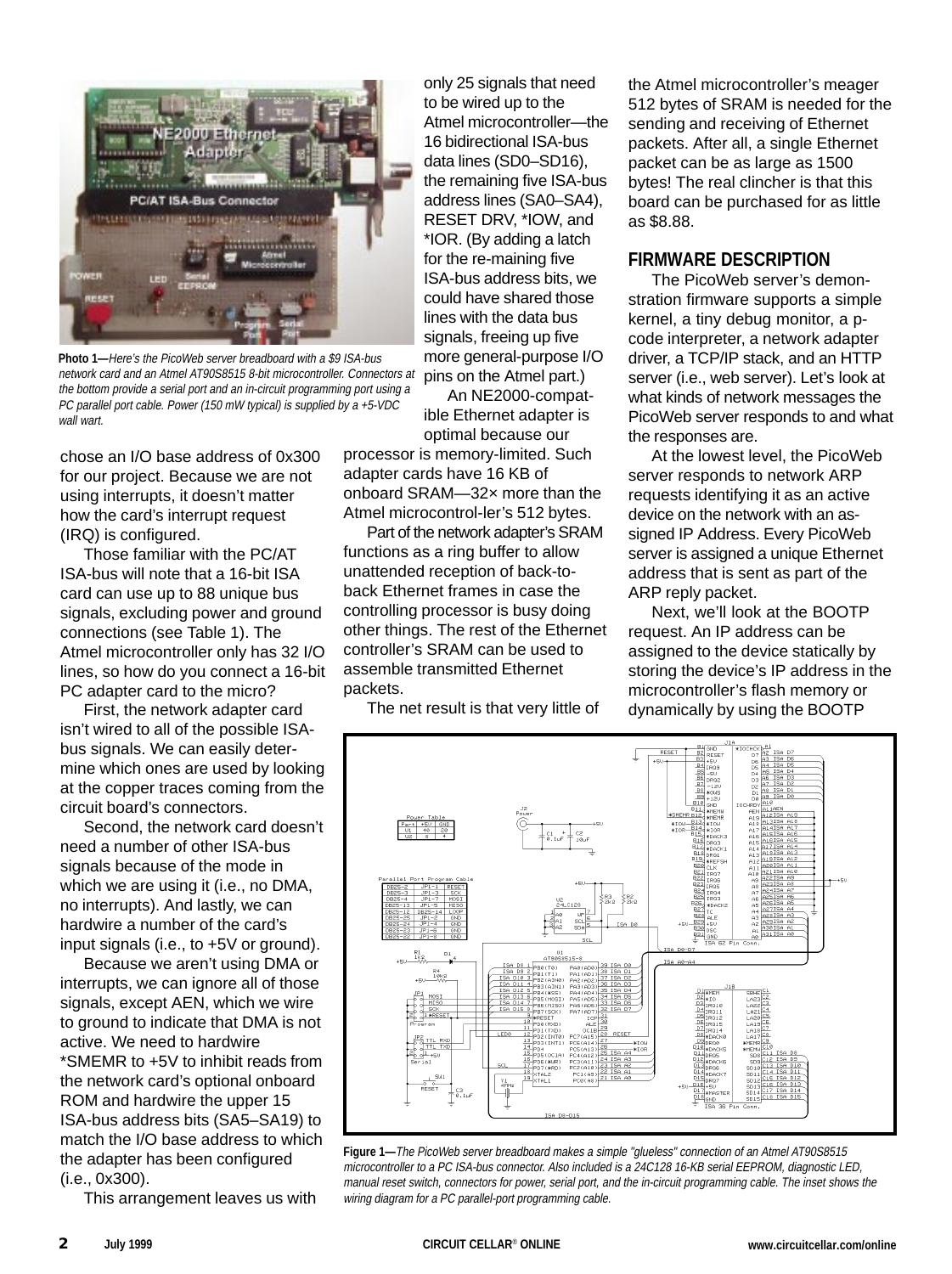

**Photo 1—**Here's the PicoWeb server breadboard with a \$9 ISA-bus network card and an Atmel AT90S8515 8-bit microcontroller. Connectors at the bottom provide a serial port and an in-circuit programming port using a PC parallel port cable. Power (150 mW typical) is supplied by a +5-VDC wall wart.

chose an I/O base address of 0x300 for our project. Because we are not using interrupts, it doesn't matter how the card's interrupt request (IRQ) is configured.

Those familiar with the PC/AT ISA-bus will note that a 16-bit ISA card can use up to 88 unique bus signals, excluding power and ground connections (see Table 1). The Atmel microcontroller only has 32 I/O lines, so how do you connect a 16-bit PC adapter card to the micro?

First, the network adapter card isn't wired to all of the possible ISAbus signals. We can easily determine which ones are used by looking at the copper traces coming from the circuit board's connectors.

Second, the network card doesn't need a number of other ISA-bus signals because of the mode in which we are using it (i.e., no DMA, no interrupts). And lastly, we can hardwire a number of the card's input signals (i.e., to +5V or ground).

Because we aren't using DMA or interrupts, we can ignore all of those signals, except AEN, which we wire to ground to indicate that DMA is not active. We need to hardwire \*SMEMR to +5V to inhibit reads from the network card's optional onboard ROM and hardwire the upper 15 ISA-bus address bits (SA5–SA19) to match the I/O base address to which the adapter has been configured (i.e., 0x300).

This arrangement leaves us with

only 25 signals that need to be wired up to the Atmel microcontroller—the 16 bidirectional ISA-bus data lines (SD0–SD16), the remaining five ISA-bus address lines (SA0–SA4), RESET DRV, \*IOW, and \*IOR. (By adding a latch for the re-maining five ISA-bus address bits, we could have shared those lines with the data bus signals, freeing up five more general-purpose I/O pins on the Atmel part.)

An NE2000-compatible Ethernet adapter is optimal because our

processor is memory-limited. Such adapter cards have 16 KB of onboard SRAM—32× more than the Atmel microcontrol-ler's 512 bytes.

Part of the network adapter's SRAM functions as a ring buffer to allow unattended reception of back-toback Ethernet frames in case the controlling processor is busy doing other things. The rest of the Ethernet controller's SRAM can be used to assemble transmitted Ethernet packets.

The net result is that very little of

the Atmel microcontroller's meager 512 bytes of SRAM is needed for the sending and receiving of Ethernet packets. After all, a single Ethernet packet can be as large as 1500 bytes! The real clincher is that this board can be purchased for as little as \$8.88.

## **FIRMWARE DESCRIPTION**

The PicoWeb server's demonstration firmware supports a simple kernel, a tiny debug monitor, a pcode interpreter, a network adapter driver, a TCP/IP stack, and an HTTP server (i.e., web server). Let's look at what kinds of network messages the PicoWeb server responds to and what the responses are.

At the lowest level, the PicoWeb server responds to network ARP requests identifying it as an active device on the network with an assigned IP Address. Every PicoWeb server is assigned a unique Ethernet address that is sent as part of the ARP reply packet.

Next, we'll look at the BOOTP request. An IP address can be assigned to the device statically by storing the device's IP address in the microcontroller's flash memory or dynamically by using the BOOTP



**Figure 1—**The PicoWeb server breadboard makes a simple "glueless" connection of an Atmel AT90S8515 microcontroller to a PC ISA-bus connector. Also included is a 24C128 16-KB serial EEPROM, diagnostic LED, manual reset switch, connectors for power, serial port, and the in-circuit programming cable. The inset shows the wiring diagram for a PC parallel-port programming cable.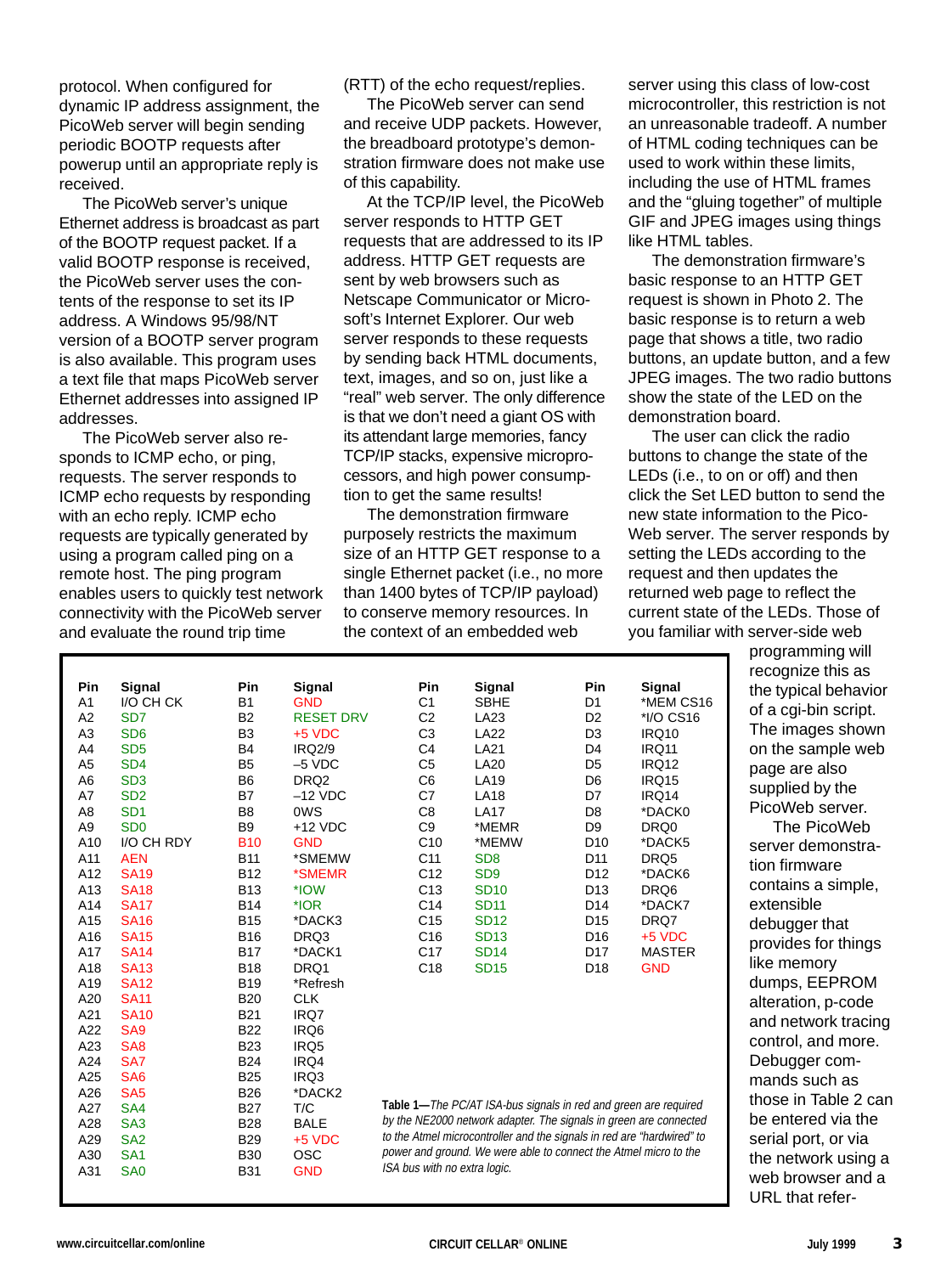protocol. When configured for dynamic IP address assignment, the PicoWeb server will begin sending periodic BOOTP requests after powerup until an appropriate reply is received.

The PicoWeb server's unique Ethernet address is broadcast as part of the BOOTP request packet. If a valid BOOTP response is received, the PicoWeb server uses the contents of the response to set its IP address. A Windows 95/98/NT version of a BOOTP server program is also available. This program uses a text file that maps PicoWeb server Ethernet addresses into assigned IP addresses.

The PicoWeb server also responds to ICMP echo, or ping, requests. The server responds to ICMP echo requests by responding with an echo reply. ICMP echo requests are typically generated by using a program called ping on a remote host. The ping program enables users to quickly test network connectivity with the PicoWeb server and evaluate the round trip time

(RTT) of the echo request/replies.

The PicoWeb server can send and receive UDP packets. However, the breadboard prototype's demonstration firmware does not make use of this capability.

At the TCP/IP level, the PicoWeb server responds to HTTP GET requests that are addressed to its IP address. HTTP GET requests are sent by web browsers such as Netscape Communicator or Microsoft's Internet Explorer. Our web server responds to these requests by sending back HTML documents, text, images, and so on, just like a "real" web server. The only difference is that we don't need a giant OS with its attendant large memories, fancy TCP/IP stacks, expensive microprocessors, and high power consumption to get the same results!

The demonstration firmware purposely restricts the maximum size of an HTTP GET response to a single Ethernet packet (i.e., no more than 1400 bytes of TCP/IP payload) to conserve memory resources. In the context of an embedded web

server using this class of low-cost microcontroller, this restriction is not an unreasonable tradeoff. A number of HTML coding techniques can be used to work within these limits, including the use of HTML frames and the "gluing together" of multiple GIF and JPEG images using things like HTML tables.

The demonstration firmware's basic response to an HTTP GET request is shown in Photo 2. The basic response is to return a web page that shows a title, two radio buttons, an update button, and a few JPEG images. The two radio buttons show the state of the LED on the demonstration board.

The user can click the radio buttons to change the state of the LEDs (i.e., to on or off) and then click the Set LED button to send the new state information to the Pico-Web server. The server responds by setting the LEDs according to the request and then updates the returned web page to reflect the current state of the LEDs. Those of you familiar with server-side web

| Pin            | Signal                      | Pin            | Signal           | Pin                                                                    | Signal                                                            | Pin             | Signal        |
|----------------|-----------------------------|----------------|------------------|------------------------------------------------------------------------|-------------------------------------------------------------------|-----------------|---------------|
| A <sub>1</sub> | I/O CH CK                   | <b>B1</b>      | <b>GND</b>       | C <sub>1</sub>                                                         | <b>SBHE</b>                                                       | D1              | *MEM CS16     |
| A <sub>2</sub> | SD <sub>7</sub>             | B <sub>2</sub> | <b>RESET DRV</b> | C <sub>2</sub>                                                         | LA23                                                              | D <sub>2</sub>  | *I/O CS16     |
| A <sub>3</sub> | SD <sub>6</sub>             | B <sub>3</sub> | $+5$ VDC         | C <sub>3</sub>                                                         | <b>LA22</b>                                                       | D3              | <b>IRQ10</b>  |
| A4             | SD <sub>5</sub>             | <b>B4</b>      | <b>IRQ2/9</b>    | C <sub>4</sub>                                                         | <b>LA21</b>                                                       | D4              | <b>IRQ11</b>  |
| A <sub>5</sub> | SD <sub>4</sub>             | B <sub>5</sub> | $-5$ VDC         | C <sub>5</sub>                                                         | <b>LA20</b>                                                       | D <sub>5</sub>  | <b>IRQ12</b>  |
| A <sub>6</sub> | SD <sub>3</sub>             | B <sub>6</sub> | DRQ <sub>2</sub> | C6                                                                     | <b>LA19</b>                                                       | D <sub>6</sub>  | <b>IRQ15</b>  |
| A7             | SD <sub>2</sub>             | <b>B7</b>      | $-12$ VDC        | C7                                                                     | <b>LA18</b>                                                       | D7              | IRQ14         |
| A8             | SD <sub>1</sub>             | B <sub>8</sub> | 0WS              | C8                                                                     | <b>LA17</b>                                                       | D <sub>8</sub>  | *DACK0        |
| A9             | S <sub>D</sub> <sub>0</sub> | B <sub>9</sub> | $+12$ VDC        | C <sub>9</sub>                                                         | *MEMR                                                             | D <sub>9</sub>  | DRQ0          |
| A10            | I/O CH RDY                  | <b>B10</b>     | <b>GND</b>       | C10                                                                    | *MEMW                                                             | D <sub>10</sub> | *DACK5        |
| A11            | <b>AEN</b>                  | <b>B11</b>     | *SMEMW           | C <sub>11</sub>                                                        | SD <sub>8</sub>                                                   | D <sub>11</sub> | DRQ5          |
| A12            | <b>SA19</b>                 | <b>B12</b>     | *SMEMR           | C <sub>12</sub>                                                        | SD <sub>9</sub>                                                   | D <sub>12</sub> | *DACK6        |
| A13            | <b>SA18</b>                 | <b>B13</b>     | *IOW             | C <sub>13</sub>                                                        | <b>SD10</b>                                                       | D <sub>13</sub> | DRQ6          |
| A14            | <b>SA17</b>                 | <b>B14</b>     | $*$ IOR          | C14                                                                    | <b>SD11</b>                                                       | D <sub>14</sub> | *DACK7        |
| A15            | <b>SA16</b>                 | <b>B15</b>     | *DACK3           | C <sub>15</sub>                                                        | <b>SD12</b>                                                       | D <sub>15</sub> | DRQ7          |
| A16            | <b>SA15</b>                 | <b>B16</b>     | DRQ3             | C <sub>16</sub>                                                        | <b>SD13</b>                                                       | D <sub>16</sub> | $+5$ VDC      |
| A17            | <b>SA14</b>                 | <b>B17</b>     | *DACK1           | C <sub>17</sub>                                                        | <b>SD14</b>                                                       | D17             | <b>MASTER</b> |
| A18            | <b>SA13</b>                 | <b>B18</b>     | DRQ1             | C <sub>18</sub>                                                        | <b>SD15</b>                                                       | D <sub>18</sub> | <b>GND</b>    |
| A19            | <b>SA12</b>                 | <b>B19</b>     | *Refresh         |                                                                        |                                                                   |                 |               |
| A20            | <b>SA11</b>                 | <b>B20</b>     | <b>CLK</b>       |                                                                        |                                                                   |                 |               |
| A21            | <b>SA10</b>                 | <b>B21</b>     | IRQ7             |                                                                        |                                                                   |                 |               |
| A22            | SA <sub>9</sub>             | <b>B22</b>     | IRQ6             |                                                                        |                                                                   |                 |               |
| A23            | SA <sub>8</sub>             | <b>B23</b>     | IRQ5             |                                                                        |                                                                   |                 |               |
| A24            | SA7                         | <b>B24</b>     | IRQ4             |                                                                        |                                                                   |                 |               |
| A25            | SA <sub>6</sub>             | <b>B25</b>     | IRQ3             |                                                                        |                                                                   |                 |               |
| A26            | SA <sub>5</sub>             | <b>B26</b>     | *DACK2           |                                                                        |                                                                   |                 |               |
| A27            | SA4                         | <b>B27</b>     | T/C              |                                                                        | Table 1-The PC/AT ISA-bus signals in red and green are required   |                 |               |
| A28            | SA <sub>3</sub>             | <b>B28</b>     | <b>BALE</b>      |                                                                        | by the NE2000 network adapter. The signals in green are connected |                 |               |
| A29            | SA <sub>2</sub>             | <b>B29</b>     | $+5$ VDC         | to the Atmel microcontroller and the signals in red are "hardwired" to |                                                                   |                 |               |

recognize this as the typical behavior of a cgi-bin script. The images shown on the sample web page are also supplied by the PicoWeb server. The PicoWeb server demonstration firmware contains a simple, extensible debugger that provides for things like memory dumps, EEPROM alteration, p-code and network tracing control, and more. Debugger commands such as those in Table 2 can be entered via the serial port, or via the network using a web browser and a URL that refer-

programming will

A30 SA1 B30 OSC A31 SA0 B31 GND

ISA bus with no extra logic.

power and ground. We were able to connect the Atmel micro to the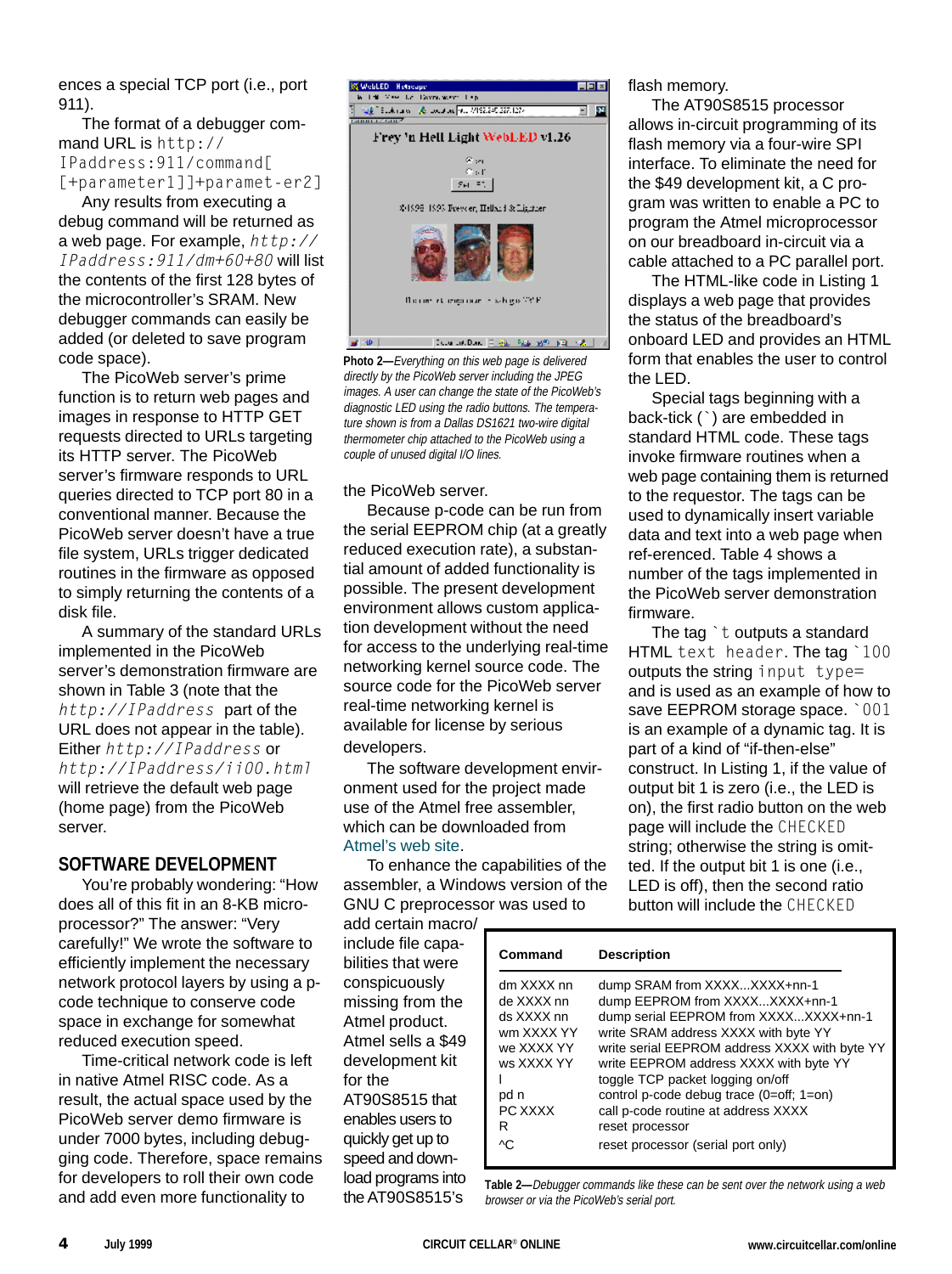ences a special TCP port (i.e., port 911).

The format of a debugger command URL is http:// IPaddress:911/command[ [+parameter1]]+paramet-er2]

Any results from executing a debug command will be returned as a web page. For example,  $http://$ IPaddress:911/dm+60+80 will list the contents of the first 128 bytes of the microcontroller's SRAM. New debugger commands can easily be added (or deleted to save program code space).

The PicoWeb server's prime function is to return web pages and images in response to HTTP GET requests directed to URLs targeting its HTTP server. The PicoWeb server's firmware responds to URL queries directed to TCP port 80 in a conventional manner. Because the PicoWeb server doesn't have a true file system, URLs trigger dedicated routines in the firmware as opposed to simply returning the contents of a disk file.

A summary of the standard URLs implemented in the PicoWeb server's demonstration firmware are shown in Table 3 (note that the http://IPaddress part of the URL does not appear in the table). Either http://IPaddress or http://IPaddress/ii00.html will retrieve the default web page (home page) from the PicoWeb server.

# **SOFTWARE DEVELOPMENT**

You're probably wondering: "How does all of this fit in an 8-KB microprocessor?" The answer: "Very carefully!" We wrote the software to efficiently implement the necessary network protocol layers by using a pcode technique to conserve code space in exchange for somewhat reduced execution speed.

Time-critical network code is left in native Atmel RISC code. As a result, the actual space used by the PicoWeb server demo firmware is under 7000 bytes, including debugging code. Therefore, space remains for developers to roll their own code and add even more functionality to



**Photo 2—**Everything on this web page is delivered directly by the PicoWeb server including the JPEG images. A user can change the state of the PicoWeb's diagnostic LED using the radio buttons. The temperature shown is from a Dallas DS1621 two-wire digital thermometer chip attached to the PicoWeb using a couple of unused digital I/O lines.

the PicoWeb server.

Because p-code can be run from the serial EEPROM chip (at a greatly reduced execution rate), a substantial amount of added functionality is possible. The present development environment allows custom application development without the need for access to the underlying real-time networking kernel source code. The source code for the PicoWeb server real-time networking kernel is available for license by serious developers.

The software development environment used for the project made use of the Atmel free assembler, which can be downloaded from Atmel's web site.

To enhance the capabilities of the assembler, a Windows version of the GNU C preprocessor was used to

add certain macro/ include file capabilities that were conspicuously missing from the Atmel product. Atmel sells a \$49 development kit for the AT90S8515 that enables users to quickly get up to speed and download programs into the AT90S8515's

flash memory.

The AT90S8515 processor allows in-circuit programming of its flash memory via a four-wire SPI interface. To eliminate the need for the \$49 development kit, a C program was written to enable a PC to program the Atmel microprocessor on our breadboard in-circuit via a cable attached to a PC parallel port.

The HTML-like code in Listing 1 displays a web page that provides the status of the breadboard's onboard LED and provides an HTML form that enables the user to control the LED.

Special tags beginning with a back-tick (`) are embedded in standard HTML code. These tags invoke firmware routines when a web page containing them is returned to the requestor. The tags can be used to dynamically insert variable data and text into a web page when ref-erenced. Table 4 shows a number of the tags implemented in the PicoWeb server demonstration firmware.

The tag  $\dot{\ }$  t outputs a standard HTML text header. The tag `100 outputs the string input type= and is used as an example of how to save EEPROM storage space. `001 is an example of a dynamic tag. It is part of a kind of "if-then-else" construct. In Listing 1, if the value of output bit 1 is zero (i.e., the LED is on), the first radio button on the web page will include the CHECKED string; otherwise the string is omitted. If the output bit 1 is one (i.e., LED is off), then the second ratio button will include the CHECKED

| Command                                                                                                         | <b>Description</b>                                                                                                                                                                                                                                                                                                                                                                                                         |
|-----------------------------------------------------------------------------------------------------------------|----------------------------------------------------------------------------------------------------------------------------------------------------------------------------------------------------------------------------------------------------------------------------------------------------------------------------------------------------------------------------------------------------------------------------|
| dm XXXX nn<br>de XXXX nn<br>ds XXXX nn<br>wm XXXX YY<br>we XXXX YY<br>ws XXXX YY<br>pd n<br>PC XXXX<br>R<br>ΛC. | dump SRAM from XXXXXXXX+nn-1<br>dump EEPROM from XXXXXXXX+nn-1<br>dump serial EEPROM from XXXXXXXX+nn-1<br>write SRAM address XXXX with byte YY<br>write serial EEPROM address XXXX with byte YY<br>write EEPROM address XXXX with byte YY<br>toggle TCP packet logging on/off<br>control p-code debug trace (0=off; 1=on)<br>call p-code routine at address XXXX<br>reset processor<br>reset processor (serial port only) |

**Table 2—**Debugger commands like these can be sent over the network using a web browser or via the PicoWeb's serial port.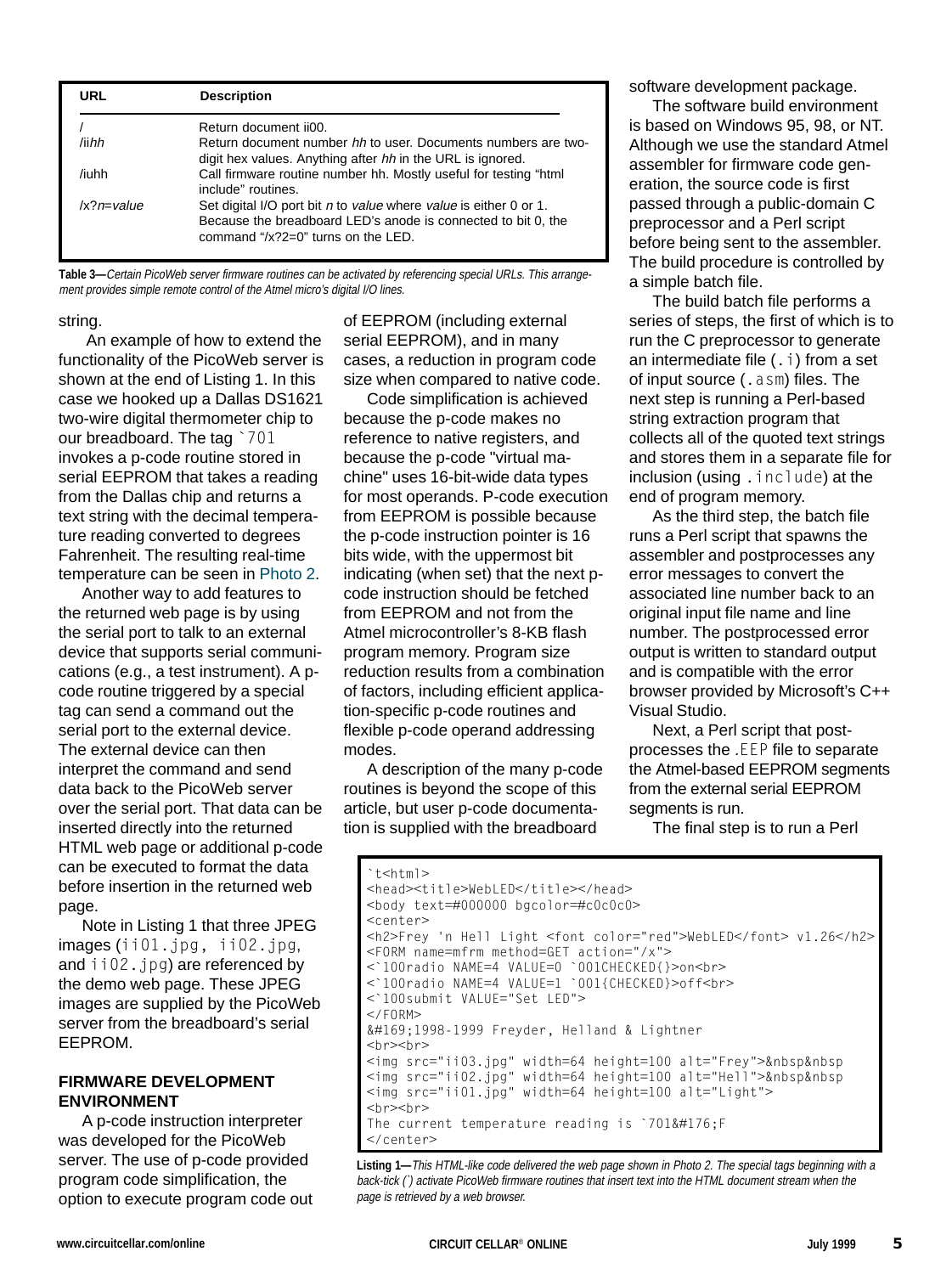| URL                   | <b>Description</b>                                                                                                                                                          |
|-----------------------|-----------------------------------------------------------------------------------------------------------------------------------------------------------------------------|
|                       | Return document ii00.                                                                                                                                                       |
| /iihh                 | Return document number hh to user. Documents numbers are two-<br>digit hex values. Anything after hh in the URL is ignored.                                                 |
| /iuhh                 | Call firmware routine number hh. Mostly useful for testing "html<br>include" routines.                                                                                      |
| $ x^{\gamma}n=$ value | Set digital I/O port bit n to value where value is either 0 or 1.<br>Because the breadboard LED's anode is connected to bit 0, the<br>command " $x$ ?2=0" turns on the LED. |

**Table 3—**Certain PicoWeb server firmware routines can be activated by referencing special URLs. This arrangement provides simple remote control of the Atmel micro's digital I/O lines.

#### string.

 An example of how to extend the functionality of the PicoWeb server is shown at the end of Listing 1. In this case we hooked up a Dallas DS1621 two-wire digital thermometer chip to our breadboard. The tag `701 invokes a p-code routine stored in serial EEPROM that takes a reading from the Dallas chip and returns a text string with the decimal temperature reading converted to degrees Fahrenheit. The resulting real-time temperature can be seen in Photo 2.

Another way to add features to the returned web page is by using the serial port to talk to an external device that supports serial communications (e.g., a test instrument). A pcode routine triggered by a special tag can send a command out the serial port to the external device. The external device can then interpret the command and send data back to the PicoWeb server over the serial port. That data can be inserted directly into the returned HTML web page or additional p-code can be executed to format the data before insertion in the returned web page.

Note in Listing 1 that three JPEG images (ii01.jpg, ii02.jpg, and ii02.jpg) are referenced by the demo web page. These JPEG images are supplied by the PicoWeb server from the breadboard's serial EEPROM.

#### **FIRMWARE DEVELOPMENT ENVIRONMENT**

A p-code instruction interpreter was developed for the PicoWeb server. The use of p-code provided program code simplification, the option to execute program code out of EEPROM (including external serial EEPROM), and in many cases, a reduction in program code size when compared to native code.

Code simplification is achieved because the p-code makes no reference to native registers, and because the p-code "virtual machine" uses 16-bit-wide data types for most operands. P-code execution from EEPROM is possible because the p-code instruction pointer is 16 bits wide, with the uppermost bit indicating (when set) that the next pcode instruction should be fetched from EEPROM and not from the Atmel microcontroller's 8-KB flash program memory. Program size reduction results from a combination of factors, including efficient application-specific p-code routines and flexible p-code operand addressing modes.

A description of the many p-code routines is beyond the scope of this article, but user p-code documentation is supplied with the breadboard

software development package.

The software build environment is based on Windows 95, 98, or NT. Although we use the standard Atmel assembler for firmware code generation, the source code is first passed through a public-domain C preprocessor and a Perl script before being sent to the assembler. The build procedure is controlled by a simple batch file.

The build batch file performs a series of steps, the first of which is to run the C preprocessor to generate an intermediate file  $(.i)$  from a set of input source (.asm) files. The next step is running a Perl-based string extraction program that collects all of the quoted text strings and stores them in a separate file for inclusion (using . include) at the end of program memory.

As the third step, the batch file runs a Perl script that spawns the assembler and postprocesses any error messages to convert the associated line number back to an original input file name and line number. The postprocessed error output is written to standard output and is compatible with the error browser provided by Microsoft's C++ Visual Studio.

Next, a Perl script that postprocesses the .EEP file to separate the Atmel-based EEPROM segments from the external serial EEPROM segments is run.

The final step is to run a Perl

```
`t<html>
<head><title>WebLED</title></head>
<body text=#000000 bgcolor=#c0c0c0>
<center>
<h2>Frey 'n Hell Light <font color="red">WebLED</font> v1.26</h2>
<FORM name=mfrm method=GET action="/x">
<`100radio NAME=4 VALUE=0 `001CHECKED{}>on<br>
<`100radio NAME=4 VALUE=1 `001{CHECKED}>off<br>
<`100submit VALUE="Set LED">
</FORM>©1998-1999 Freyder, Helland & Lightner
<hr><hr>
<img src="ii03.jpg" width=64 height=100 alt="Frey">&nbsp&nbsp
<img src="ii02.jpg" width=64 height=100 alt="Hell">&nbsp&nbsp
<img src="ii01.jpg" width=64 height=100 alt="Light">
<hr><hr>
The current temperature reading is \dot{} 701° F
</center>
```
**Listing 1—**This HTML-like code delivered the web page shown in Photo 2. The special tags beginning with a back-tick (`) activate PicoWeb firmware routines that insert text into the HTML document stream when the page is retrieved by a web browser.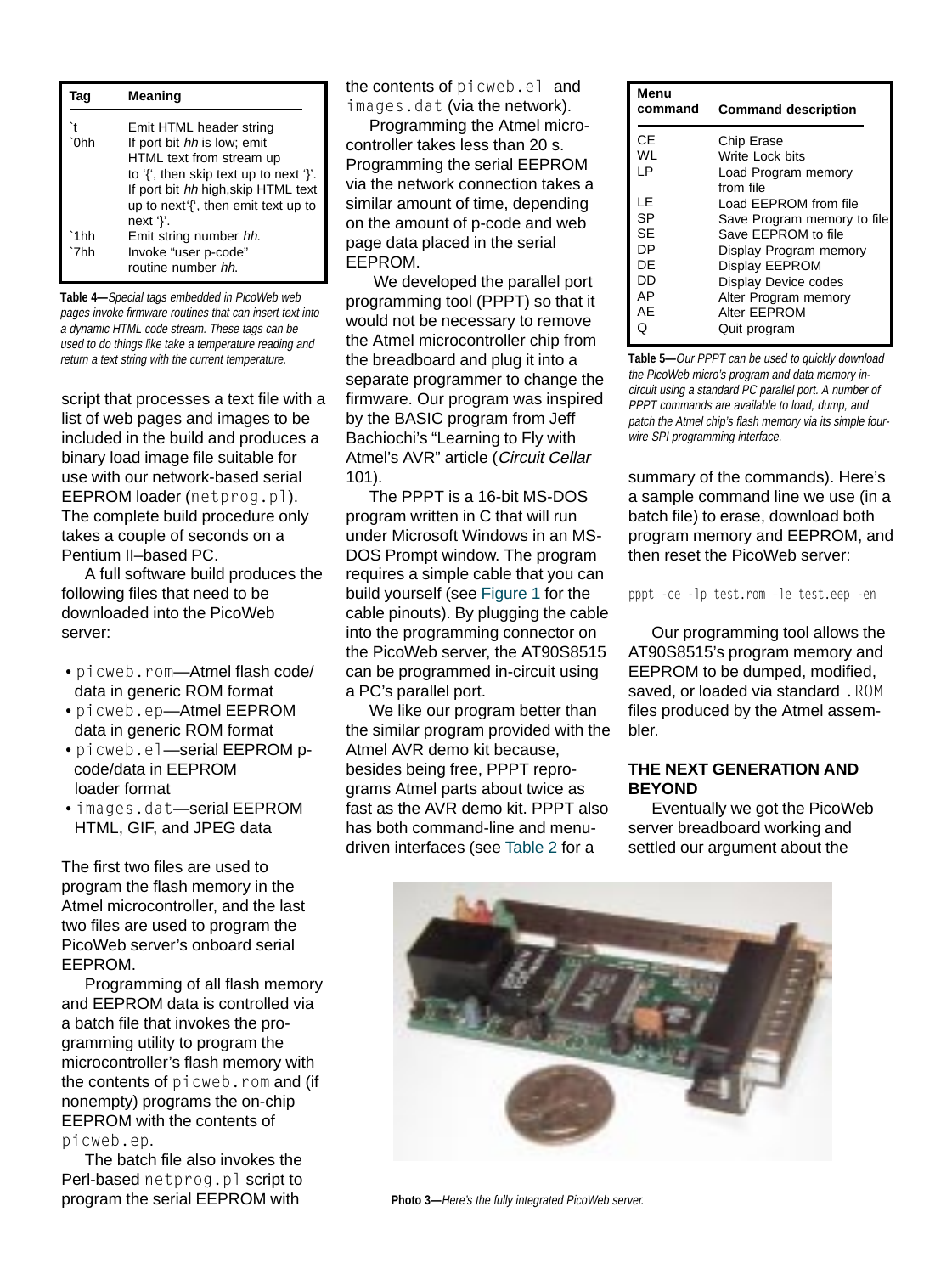| Taq         | <b>Meaning</b>                                                                                                       |
|-------------|----------------------------------------------------------------------------------------------------------------------|
| `0hh        | Emit HTML header string<br>If port bit hh is low; emit<br>HTML text from stream up                                   |
|             | to '{', then skip text up to next '}'.<br>If port bit hh high, skip HTML text<br>up to next'{', then emit text up to |
| 1hh<br>`7hh | next '}'.<br>Emit string number hh.<br>Invoke "user p-code"<br>routine number hh.                                    |

**Table 4—**Special tags embedded in PicoWeb web pages invoke firmware routines that can insert text into a dynamic HTML code stream. These tags can be used to do things like take a temperature reading and return a text string with the current temperature. **The breadboard and plug it into a** Table 5—Our PPPT can be used to quickly download

script that processes a text file with a list of web pages and images to be included in the build and produces a binary load image file suitable for use with our network-based serial EEPROM loader (netprog.pl). The complete build procedure only takes a couple of seconds on a Pentium II–based PC.

A full software build produces the following files that need to be downloaded into the PicoWeb server:

- picweb.rom—Atmel flash code/ data in generic ROM format
- picweb.ep—Atmel EEPROM data in generic ROM format
- picweb.el—serial EEPROM p code/data in EEPROM loader format
- images.dat—serial EEPROM HTML, GIF, and JPEG data

The first two files are used to program the flash memory in the Atmel microcontroller, and the last two files are used to program the PicoWeb server's onboard serial EEPROM.

Programming of all flash memory and EEPROM data is controlled via a batch file that invokes the programming utility to program the microcontroller's flash memory with the contents of picweb.rom and (if nonempty) programs the on-chip EEPROM with the contents of picweb.ep.

The batch file also invokes the Perl-based netprog.pl script to program the serial EEPROM with

the contents of picweb.el and images.dat (via the network).

Programming the Atmel microcontroller takes less than 20 s. Programming the serial EEPROM via the network connection takes a similar amount of time, depending on the amount of p-code and web page data placed in the serial EEPROM.

 We developed the parallel port programming tool (PPPT) so that it would not be necessary to remove the Atmel microcontroller chip from the breadboard and plug it into a separate programmer to change the firmware. Our program was inspired by the BASIC program from Jeff Bachiochi's "Learning to Fly with Atmel's AVR" article (Circuit Cellar 101).

The PPPT is a 16-bit MS-DOS program written in C that will run under Microsoft Windows in an MS-DOS Prompt window. The program requires a simple cable that you can build yourself (see Figure 1 for the cable pinouts). By plugging the cable into the programming connector on the PicoWeb server, the AT90S8515 can be programmed in-circuit using a PC's parallel port.

We like our program better than the similar program provided with the Atmel AVR demo kit because, besides being free, PPPT reprograms Atmel parts about twice as fast as the AVR demo kit. PPPT also has both command-line and menudriven interfaces (see Table 2 for a

| Menu    |                             |
|---------|-----------------------------|
| command | <b>Command description</b>  |
|         |                             |
| СE      | Chip Erase                  |
| WL      | Write Lock bits             |
| ΙP      | Load Program memory         |
|         | from file                   |
| ΙF      | I oad FFPROM from file      |
| SP      | Save Program memory to file |
| SE      | Save EEPROM to file         |
| DP      | Display Program memory      |
| DE      | Display EEPROM              |
| DD      | <b>Display Device codes</b> |
| АP      | Alter Program memory        |
| AE      | Alter EEPROM                |
| Q       | Quit program                |

the PicoWeb micro's program and data memory incircuit using a standard PC parallel port. A number of PPPT commands are available to load, dump, and patch the Atmel chip's flash memory via its simple fourwire SPI programming interface.

summary of the commands). Here's a sample command line we use (in a batch file) to erase, download both program memory and EEPROM, and then reset the PicoWeb server:

pppt -ce -lp test.rom -le test.eep -en

Our programming tool allows the AT90S8515's program memory and EEPROM to be dumped, modified, saved, or loaded via standard. ROM files produced by the Atmel assembler.

#### **THE NEXT GENERATION AND BEYOND**

Eventually we got the PicoWeb server breadboard working and settled our argument about the



**Photo 3—**Here's the fully integrated PicoWeb server.